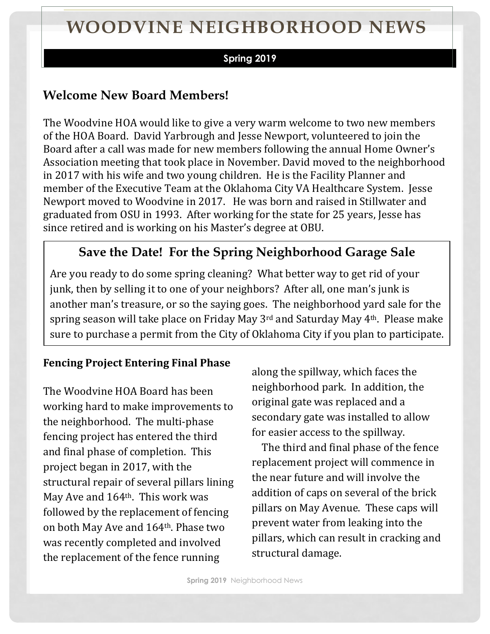# **WOODVINE NEIGHBORHOOD NEWS**

#### **Spring 2019**

## **Welcome New Board Members!**

The Woodvine HOA would like to give a very warm welcome to two new members of the HOA Board. David Yarbrough and Jesse Newport, volunteered to join the Board after a call was made for new members following the annual Home Owner's Association meeting that took place in November. David moved to the neighborhood in 2017 with his wife and two young children. He is the Facility Planner and member of the Executive Team at the Oklahoma City VA Healthcare System. Jesse Newport moved to Woodvine in 2017. He was born and raised in Stillwater and graduated from OSU in 1993. After working for the state for 25 years, Jesse has since retired and is working on his Master's degree at OBU.

## **Save the Date! For the Spring Neighborhood Garage Sale**

Are you ready to do some spring cleaning? What better way to get rid of your junk, then by selling it to one of your neighbors? After all, one man's junk is another man's treasure, or so the saying goes. The neighborhood yard sale for the spring season will take place on Friday May 3rd and Saturday May 4th. Please make sure to purchase a permit from the City of Oklahoma City if you plan to participate.

#### **Fencing Project Entering Final Phase**

The Woodvine HOA Board has been working hard to make improvements to the neighborhood. The multi-phase fencing project has entered the third and final phase of completion. This project began in 2017, with the structural repair of several pillars lining May Ave and 164th. This work was followed by the replacement of fencing on both May Ave and 164th. Phase two was recently completed and involved the replacement of the fence running

along the spillway, which faces the neighborhood park. In addition, the original gate was replaced and a secondary gate was installed to allow for easier access to the spillway.

 The third and final phase of the fence replacement project will commence in the near future and will involve the addition of caps on several of the brick pillars on May Avenue. These caps will prevent water from leaking into the pillars, which can result in cracking and structural damage.